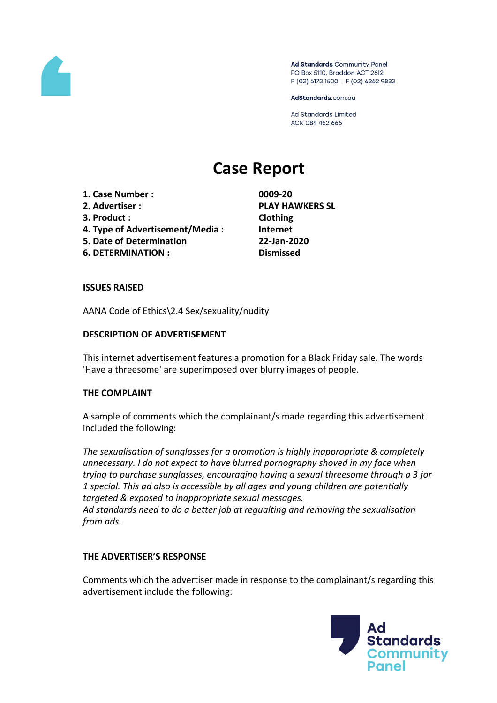

Ad Standards Community Panel PO Box 5110, Braddon ACT 2612 P (02) 6173 1500 | F (02) 6262 9833

AdStandards.com.au

**Ad Standards Limited** ACN 084 452 666

# **Case Report**

- **1. Case Number : 0009-20**
- 
- **3. Product : Clothing**
- **4. Type of Advertisement/Media : Internet**
- **5. Date of Determination 22-Jan-2020**
- **6. DETERMINATION : Dismissed**

**2. Advertiser : PLAY HAWKERS SL**

# **ISSUES RAISED**

AANA Code of Ethics\2.4 Sex/sexuality/nudity

# **DESCRIPTION OF ADVERTISEMENT**

This internet advertisement features a promotion for a Black Friday sale. The words 'Have a threesome' are superimposed over blurry images of people.

### **THE COMPLAINT**

A sample of comments which the complainant/s made regarding this advertisement included the following:

*The sexualisation of sunglasses for a promotion is highly inappropriate & completely unnecessary. I do not expect to have blurred pornography shoved in my face when trying to purchase sunglasses, encouraging having a sexual threesome through a 3 for 1 special. This ad also is accessible by all ages and young children are potentially targeted & exposed to inappropriate sexual messages. Ad standards need to do a better job at regualting and removing the sexualisation from ads.*

### **THE ADVERTISER'S RESPONSE**

Comments which the advertiser made in response to the complainant/s regarding this advertisement include the following:

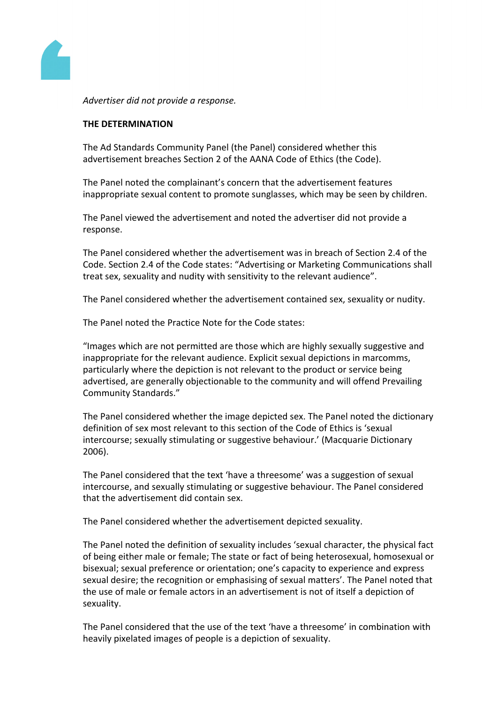

*Advertiser did not provide a response.*

#### **THE DETERMINATION**

The Ad Standards Community Panel (the Panel) considered whether this advertisement breaches Section 2 of the AANA Code of Ethics (the Code).

The Panel noted the complainant's concern that the advertisement features inappropriate sexual content to promote sunglasses, which may be seen by children.

The Panel viewed the advertisement and noted the advertiser did not provide a response.

The Panel considered whether the advertisement was in breach of Section 2.4 of the Code. Section 2.4 of the Code states: "Advertising or Marketing Communications shall treat sex, sexuality and nudity with sensitivity to the relevant audience".

The Panel considered whether the advertisement contained sex, sexuality or nudity.

The Panel noted the Practice Note for the Code states:

"Images which are not permitted are those which are highly sexually suggestive and inappropriate for the relevant audience. Explicit sexual depictions in marcomms, particularly where the depiction is not relevant to the product or service being advertised, are generally objectionable to the community and will offend Prevailing Community Standards."

The Panel considered whether the image depicted sex. The Panel noted the dictionary definition of sex most relevant to this section of the Code of Ethics is 'sexual intercourse; sexually stimulating or suggestive behaviour.' (Macquarie Dictionary 2006).

The Panel considered that the text 'have a threesome' was a suggestion of sexual intercourse, and sexually stimulating or suggestive behaviour. The Panel considered that the advertisement did contain sex.

The Panel considered whether the advertisement depicted sexuality.

The Panel noted the definition of sexuality includes 'sexual character, the physical fact of being either male or female; The state or fact of being heterosexual, homosexual or bisexual; sexual preference or orientation; one's capacity to experience and express sexual desire; the recognition or emphasising of sexual matters'. The Panel noted that the use of male or female actors in an advertisement is not of itself a depiction of sexuality.

The Panel considered that the use of the text 'have a threesome' in combination with heavily pixelated images of people is a depiction of sexuality.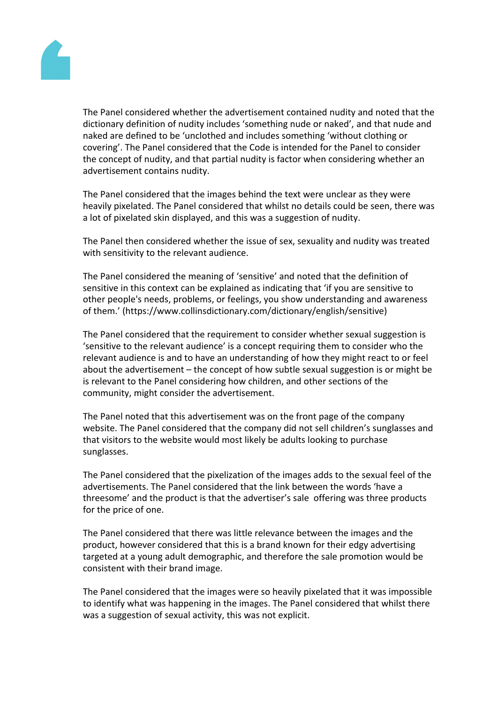

The Panel considered whether the advertisement contained nudity and noted that the dictionary definition of nudity includes 'something nude or naked', and that nude and naked are defined to be 'unclothed and includes something 'without clothing or covering'. The Panel considered that the Code is intended for the Panel to consider the concept of nudity, and that partial nudity is factor when considering whether an advertisement contains nudity.

The Panel considered that the images behind the text were unclear as they were heavily pixelated. The Panel considered that whilst no details could be seen, there was a lot of pixelated skin displayed, and this was a suggestion of nudity.

The Panel then considered whether the issue of sex, sexuality and nudity was treated with sensitivity to the relevant audience.

The Panel considered the meaning of 'sensitive' and noted that the definition of sensitive in this context can be explained as indicating that 'if you are sensitive to other people's needs, problems, or feelings, you show understanding and awareness of them.' (https://www.collinsdictionary.com/dictionary/english/sensitive)

The Panel considered that the requirement to consider whether sexual suggestion is 'sensitive to the relevant audience' is a concept requiring them to consider who the relevant audience is and to have an understanding of how they might react to or feel about the advertisement – the concept of how subtle sexual suggestion is or might be is relevant to the Panel considering how children, and other sections of the community, might consider the advertisement.

The Panel noted that this advertisement was on the front page of the company website. The Panel considered that the company did not sell children's sunglasses and that visitors to the website would most likely be adults looking to purchase sunglasses.

The Panel considered that the pixelization of the images adds to the sexual feel of the advertisements. The Panel considered that the link between the words 'have a threesome' and the product is that the advertiser's sale offering was three products for the price of one.

The Panel considered that there was little relevance between the images and the product, however considered that this is a brand known for their edgy advertising targeted at a young adult demographic, and therefore the sale promotion would be consistent with their brand image.

The Panel considered that the images were so heavily pixelated that it was impossible to identify what was happening in the images. The Panel considered that whilst there was a suggestion of sexual activity, this was not explicit.